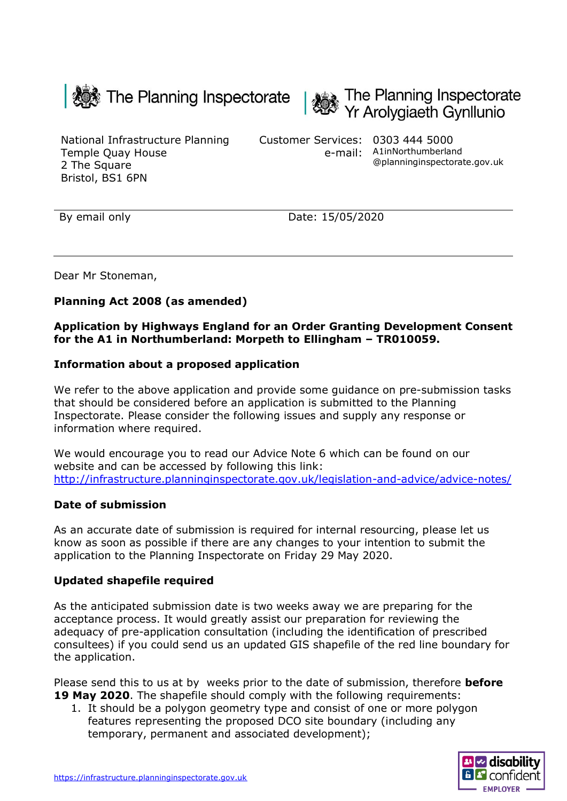



National Infrastructure Planning Temple Quay House 2 The Square Bristol, BS1 6PN

Customer Services: 0303 444 5000 e-mail: A1inNorthumberland @planninginspectorate.gov.uk

By email only Date: 15/05/2020

Dear Mr Stoneman,

## **Planning Act 2008 (as amended)**

### **Application by Highways England for an Order Granting Development Consent for the A1 in Northumberland: Morpeth to Ellingham – TR010059.**

### **Information about a proposed application**

We refer to the above application and provide some guidance on pre-submission tasks that should be considered before an application is submitted to the Planning Inspectorate. Please consider the following issues and supply any response or information where required.

We would encourage you to read our Advice Note 6 which can be found on our website and can be accessed by following this link: <http://infrastructure.planninginspectorate.gov.uk/legislation-and-advice/advice-notes/>

#### **Date of submission**

As an accurate date of submission is required for internal resourcing, please let us know as soon as possible if there are any changes to your intention to submit the application to the Planning Inspectorate on Friday 29 May 2020.

## **Updated shapefile required**

As the anticipated submission date is two weeks away we are preparing for the acceptance process. It would greatly assist our preparation for reviewing the adequacy of pre-application consultation (including the identification of prescribed consultees) if you could send us an updated GIS shapefile of the red line boundary for the application.

Please send this to us at by weeks prior to the date of submission, therefore **before 19 May 2020**. The shapefile should comply with the following requirements:

1. It should be a polygon geometry type and consist of one or more polygon features representing the proposed DCO site boundary (including any temporary, permanent and associated development);

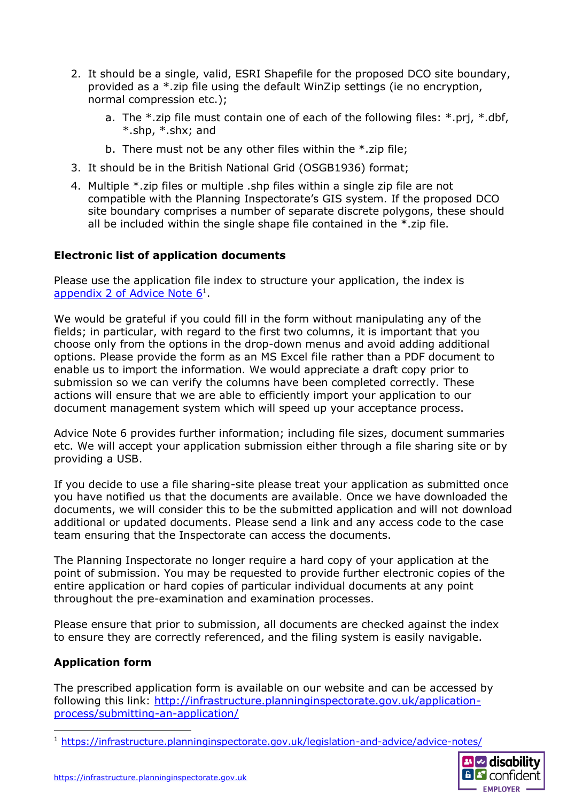- 2. It should be a single, valid, ESRI Shapefile for the proposed DCO site boundary, provided as a \*.zip file using the default WinZip settings (ie no encryption, normal compression etc.);
	- a. The \*.zip file must contain one of each of the following files: \*.prj, \*.dbf, \*.shp, \*.shx; and
	- b. There must not be any other files within the \*.zip file;
- 3. It should be in the British National Grid (OSGB1936) format;
- 4. Multiple \*.zip files or multiple .shp files within a single zip file are not compatible with the Planning Inspectorate's GIS system. If the proposed DCO site boundary comprises a number of separate discrete polygons, these should all be included within the single shape file contained in the \*.zip file.

# **Electronic list of application documents**

Please use the application file index to structure your application, the index is [appendix 2 of Advice Note 6](https://infrastructure.planninginspectorate.gov.uk/legislation-and-advice/advice-notes/)<sup>1</sup>.

We would be grateful if you could fill in the form without manipulating any of the fields; in particular, with regard to the first two columns, it is important that you choose only from the options in the drop-down menus and avoid adding additional options. Please provide the form as an MS Excel file rather than a PDF document to enable us to import the information. We would appreciate a draft copy prior to submission so we can verify the columns have been completed correctly. These actions will ensure that we are able to efficiently import your application to our document management system which will speed up your acceptance process.

Advice Note 6 provides further information; including file sizes, document summaries etc. We will accept your application submission either through a file sharing site or by providing a USB.

If you decide to use a file sharing-site please treat your application as submitted once you have notified us that the documents are available. Once we have downloaded the documents, we will consider this to be the submitted application and will not download additional or updated documents. Please send a link and any access code to the case team ensuring that the Inspectorate can access the documents.

The Planning Inspectorate no longer require a hard copy of your application at the point of submission. You may be requested to provide further electronic copies of the entire application or hard copies of particular individual documents at any point throughout the pre-examination and examination processes.

Please ensure that prior to submission, all documents are checked against the index to ensure they are correctly referenced, and the filing system is easily navigable.

# **Application form**

The prescribed application form is available on our website and can be accessed by following this link: [http://infrastructure.planninginspectorate.gov.uk/application](http://infrastructure.planninginspectorate.gov.uk/application-process/submitting-an-application/)[process/submitting-an-application/](http://infrastructure.planninginspectorate.gov.uk/application-process/submitting-an-application/)

<sup>1</sup> <https://infrastructure.planninginspectorate.gov.uk/legislation-and-advice/advice-notes/>

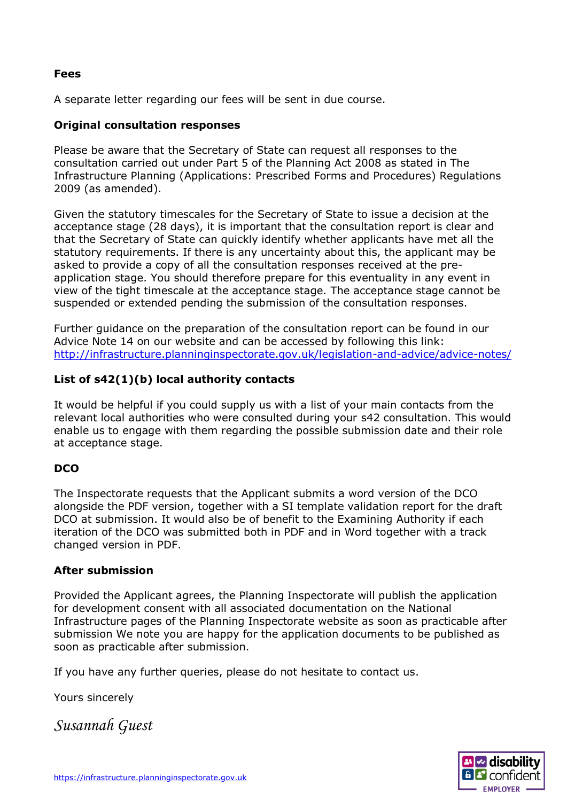### **Fees**

A separate letter regarding our fees will be sent in due course.

## **Original consultation responses**

Please be aware that the Secretary of State can request all responses to the consultation carried out under Part 5 of the Planning Act 2008 as stated in The Infrastructure Planning (Applications: Prescribed Forms and Procedures) Regulations 2009 (as amended).

Given the statutory timescales for the Secretary of State to issue a decision at the acceptance stage (28 days), it is important that the consultation report is clear and that the Secretary of State can quickly identify whether applicants have met all the statutory requirements. If there is any uncertainty about this, the applicant may be asked to provide a copy of all the consultation responses received at the preapplication stage. You should therefore prepare for this eventuality in any event in view of the tight timescale at the acceptance stage. The acceptance stage cannot be suspended or extended pending the submission of the consultation responses.

Further guidance on the preparation of the consultation report can be found in our Advice Note 14 on our website and can be accessed by following this link: <http://infrastructure.planninginspectorate.gov.uk/legislation-and-advice/advice-notes/>

## **List of s42(1)(b) local authority contacts**

It would be helpful if you could supply us with a list of your main contacts from the relevant local authorities who were consulted during your s42 consultation. This would enable us to engage with them regarding the possible submission date and their role at acceptance stage.

## **DCO**

The Inspectorate requests that the Applicant submits a word version of the DCO alongside the PDF version, together with a SI template validation report for the draft DCO at submission. It would also be of benefit to the Examining Authority if each iteration of the DCO was submitted both in PDF and in Word together with a track changed version in PDF.

#### **After submission**

Provided the Applicant agrees, the Planning Inspectorate will publish the application for development consent with all associated documentation on the National Infrastructure pages of the Planning Inspectorate website as soon as practicable after submission We note you are happy for the application documents to be published as soon as practicable after submission.

If you have any further queries, please do not hesitate to contact us.

Yours sincerely

*Susannah Guest*